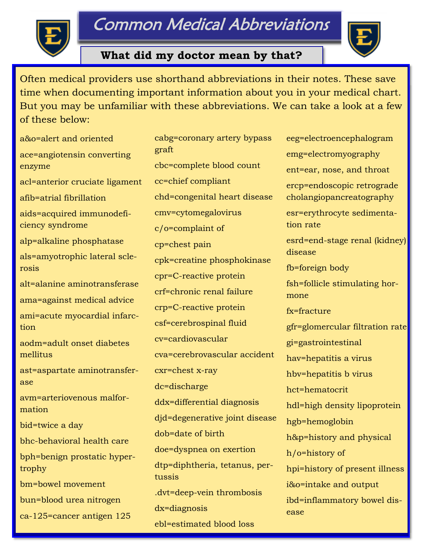# Common Medical Abbreviations



### **What did my doctor mean by that?**

 Often medical providers use shorthand abbreviations in their notes. These save time when documenting important information about you in your medical chart. But you may be unfamiliar with these abbreviations. We can take a look at a few of these below:

a&o=alert and oriented ace=angiotensin converting enzyme acl=anterior cruciate ligament afib=atrial fibrillation aids=acquired immunodeficiency syndrome alp=alkaline phosphatase als=amyotrophic lateral sclerosis alt=alanine aminotransferase ama=against medical advice ami=acute myocardial infarction aodm=adult onset diabetes mellitus ast=aspartate aminotransferase avm=arteriovenous malformation bid=twice a day bhc-behavioral health care bph=benign prostatic hypertrophy bm=bowel movement bun=blood urea nitrogen ca-125=cancer antigen 125

cabg=coronary artery bypass graft cbc=complete blood count cc=chief compliant chd=congenital heart disease cmv=cytomegalovirus c/o=complaint of cp=chest pain cpk=creatine phosphokinase cpr=C-reactive protein crf=chronic renal failure crp=C-reactive protein csf=cerebrospinal fluid cv=cardiovascular cva=cerebrovascular accident cxr=chest x-ray dc=discharge ddx=differential diagnosis djd=degenerative joint disease dob=date of birth doe=dyspnea on exertion dtp=diphtheria, tetanus, pertussis .dvt=deep-vein thrombosis dx=diagnosis ebl=estimated blood loss

eeg=electroencephalogram emg=electromyography ent=ear, nose, and throat ercp=endoscopic retrograde cholangiopancreatography esr=erythrocyte sedimentation rate esrd=end-stage renal (kidney) disease fb=foreign body fsh=follicle stimulating hormone fx=fracture gfr=glomercular filtration rate gi=gastrointestinal hav=hepatitis a virus hbv=hepatitis b virus hct=hematocrit hdl=high density lipoprotein hgb=hemoglobin h&p=history and physical h/o=history of hpi=history of present illness i&o=intake and output ibd=inflammatory bowel disease